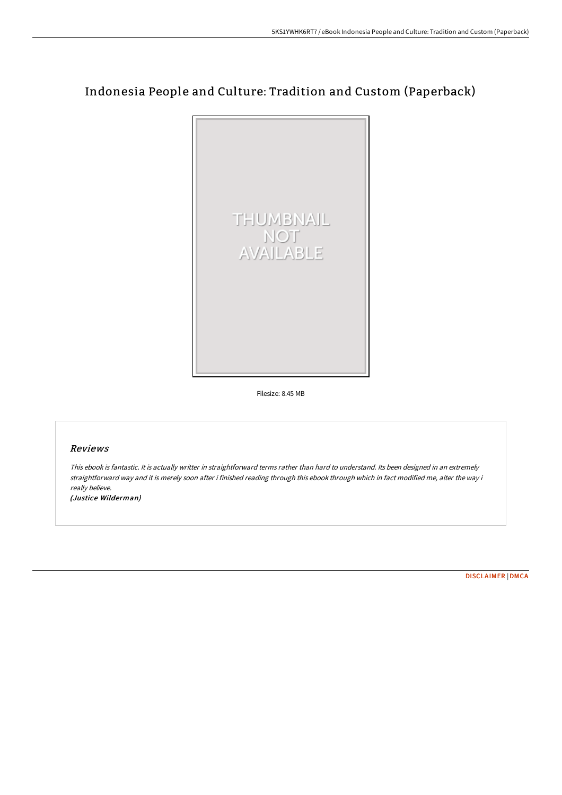# Indonesia People and Culture: Tradition and Custom (Paperback)



Filesize: 8.45 MB

# Reviews

This ebook is fantastic. It is actually writter in straightforward terms rather than hard to understand. Its been designed in an extremely straightforward way and it is merely soon after i finished reading through this ebook through which in fact modified me, alter the way i really believe.

(Justice Wilderman)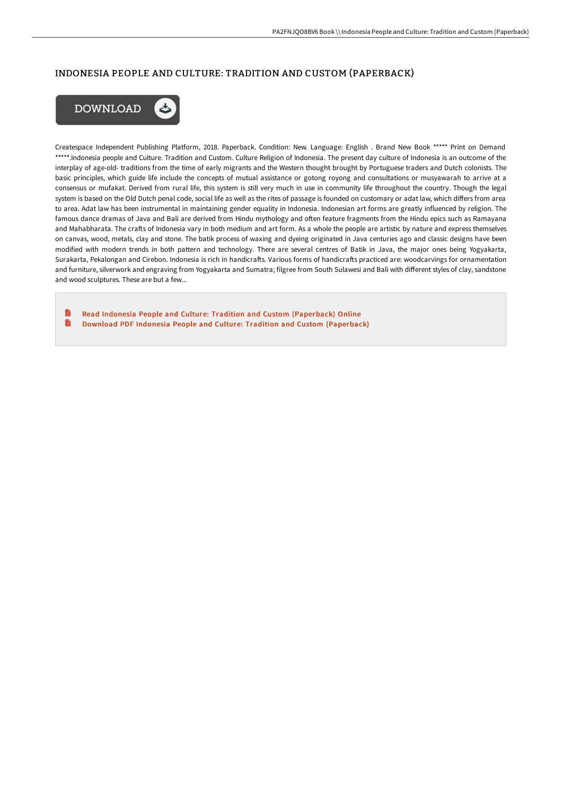# INDONESIA PEOPLE AND CULTURE: TRADITION AND CUSTOM (PAPERBACK)



Createspace Independent Publishing Platform, 2018. Paperback. Condition: New. Language: English . Brand New Book \*\*\*\*\* Print on Demand \*\*\*\*\*.Indonesia people and Culture. Tradition and Custom. Culture Religion of Indonesia. The present day culture of Indonesia is an outcome of the interplay of age-old- traditions from the time of early migrants and the Western thought brought by Portuguese traders and Dutch colonists. The basic principles, which guide life include the concepts of mutual assistance or gotong royong and consultations or musyawarah to arrive at a consensus or mufakat. Derived from rural life, this system is still very much in use in community life throughout the country. Though the legal system is based on the Old Dutch penal code, social life as well as the rites of passage is founded on customary or adat law, which differs from area to area. Adat law has been instrumental in maintaining gender equality in Indonesia. Indonesian art forms are greatly influenced by religion. The famous dance dramas of Java and Bali are derived from Hindu mythology and often feature fragments from the Hindu epics such as Ramayana and Mahabharata. The crafts of Indonesia vary in both medium and art form. As a whole the people are artistic by nature and express themselves on canvas, wood, metals, clay and stone. The batik process of waxing and dyeing originated in Java centuries ago and classic designs have been modified with modern trends in both pattern and technology. There are several centres of Batik in Java, the major ones being Yogyakarta, Surakarta, Pekalongan and Cirebon. Indonesia is rich in handicrafts. Various forms of handicrafts practiced are: woodcarvings for ornamentation and furniture, silverwork and engraving from Yogyakarta and Sumatra; filgree from South Sulawesi and Bali with different styles of clay, sandstone and wood sculptures. These are but a few...

Read Indonesia People and Culture: Tradition and Custom [\(Paperback\)](http://techno-pub.tech/indonesia-people-and-culture-tradition-and-custo.html) Online B Download PDF Indonesia People and Culture: Tradition and Custom [\(Paperback\)](http://techno-pub.tech/indonesia-people-and-culture-tradition-and-custo.html)